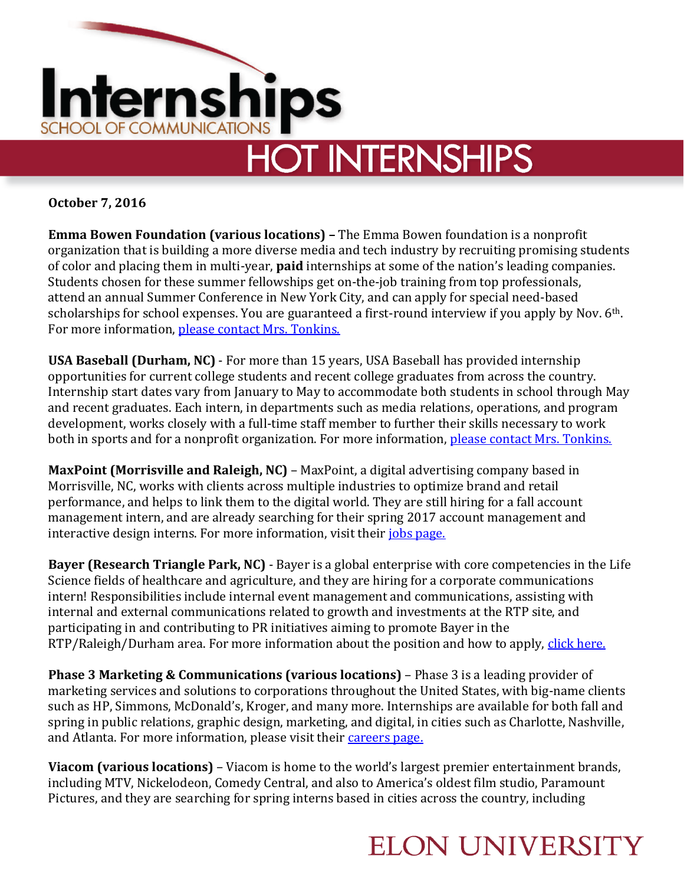

**October 7, 2016**

**Emma Bowen Foundation (various locations) –** The Emma Bowen foundation is a nonprofit organization that is building a more diverse media and tech industry by recruiting promising students of color and placing them in multi-year, **paid** internships at some of the nation's leading companies. Students chosen for these summer fellowships get on-the-job training from top professionals, attend an annual Summer Conference in New York City, and can apply for special need-based scholarships for school expenses. You are guaranteed a first-round interview if you apply by Nov. 6<sup>th</sup>. For more information, [please contact Mrs. Tonkins.](mailto:ntonkins@elon.edu)

**USA Baseball (Durham, NC)** - For more than 15 years, USA Baseball has provided internship opportunities for current college students and recent college graduates from across the country. Internship start dates vary from January to May to accommodate both students in school through May and recent graduates. Each intern, in departments such as media relations, operations, and program development, works closely with a full-time staff member to further their skills necessary to work both in sports and for a nonprofit organization. For more information, [please contact Mrs. Tonkins.](mailto:ntonkins@elon.edu)

**MaxPoint (Morrisville and Raleigh, NC)** – MaxPoint, a digital advertising company based in Morrisville, NC, works with clients across multiple industries to optimize brand and retail performance, and helps to link them to the digital world. They are still hiring for a fall account management intern, and are already searching for their spring 2017 account management and interactive design interns. For more information, visit their *jobs page*.

**Bayer (Research Triangle Park, NC)** - Bayer is a global enterprise with core competencies in the Life Science fields of healthcare and agriculture, and they are hiring for a corporate communications intern! Responsibilities include internal event management and communications, assisting with internal and external communications related to growth and investments at the RTP site, and participating in and contributing to PR initiatives aiming to promote Bayer in the RTP/Raleigh/Durham area. For more information about the position and how to apply, [click here.](https://mybayerjob.bayerbbs.com/sap/bc/webdynpro/sap/hrrcf_a_posting_apply?param=cG9zdF9pbnN0X2d1aWQ9MDA1MDU2ODkwMEI0MUVENkExRDYyN0QzNjQzMURFNkYmY2FuZF90eXBlPUVYVA%3d%3d&sap-client=005¶ms=cG9zdF9pbnN0X2d1aWQ9MDA1MDU2ODkwMEI0MUVENkExRDYyN0QzNjQzMURFNkY%3d)

**Phase 3 Marketing & Communications (various locations)** – Phase 3 is a leading provider of marketing services and solutions to corporations throughout the United States, with big-name clients such as HP, Simmons, McDonald's, Kroger, and many more. Internships are available for both fall and spring in public relations, graphic design, marketing, and digital, in cities such as Charlotte, Nashville, and Atlanta. For more information, please visit their [careers page.](http://www.phase3mc.com/careers/)

**Viacom (various locations)** – Viacom is home to the world's largest premier entertainment brands, including MTV, Nickelodeon, Comedy Central, and also to America's oldest film studio, Paramount Pictures, and they are searching for spring interns based in cities across the country, including

## **ELON UNIVERSITY**